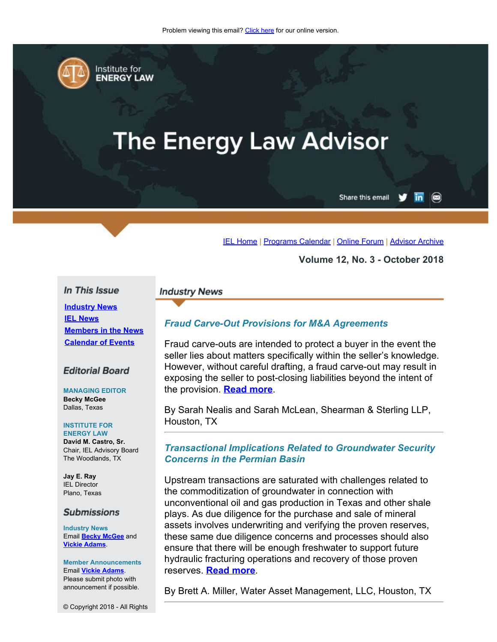<span id="page-0-0"></span>

Institute for **ENERGY LAW** 

# **The Energy Law Advisor**

Share this email

#### [IEL Home](http://www.cailaw.org/institute-for-energy-law/index.html?utm_source=Informz&utm_medium=Email&utm_campaign=Event+Details) | [Programs Calendar](http://www.cailaw.org/institute-for-energy-law/programs-calendar.html?utm_source=Informz&utm_medium=Email&utm_campaign=Event+Details) | [Online Forum](https://www.linkedin.com/groups?gid=2330688&trk=myg_ugrp_ovr) | [Advisor Archive](http://www.cailaw.org/institute-for-energy-law/publications/energy-law-advisor.html?utm_source=Informz&utm_medium=Email&utm_campaign=Event+Details)

**Volume 12, No. 3 - October 2018**

## In This Issue

**[Industry News](#page-0-0) [IEL News](#page-0-0) [Members in the News](#page-0-0) [Calendar of Events](#page-0-0)**

## **Editorial Board**

**MANAGING EDITOR Becky McGee** Dallas, Texas

### **INSTITUTE FOR**

**ENERGY LAW David M. Castro, Sr.** Chair, IEL Advisory Board The Woodlands, TX

**Jay E. Ray** IEL Director Plano, Texas

#### **Submissions**

**Industry News** Email **[Becky McGee](mailto:beckymcgee@charter.net)** and **[Vickie Adams](mailto:vadams@cailaw.org)**.

**Member Announcements** Email **[Vickie Adams](mailto:vadams@cailaw.org)**. Please submit photo with announcement if possible.

© Copyright 2018 - All Rights

#### **Industry News**

## *Fraud Carve-Out Provisions for M&A Agreements*

Fraud carve-outs are intended to protect a buyer in the event the seller lies about matters specifically within the seller's knowledge. However, without careful drafting, a fraud carve-out may result in exposing the seller to post-closing liabilities beyond the intent of the provision. **[Read more](http://www.cailaw.org/media/files/IEL/Publications/2018/nealis-vol12no3.pdf)**.

By Sarah Nealis and Sarah McLean, Shearman & Sterling LLP, Houston, TX

## *Transactional Implications Related to Groundwater Security Concerns in the Permian Basin*

Upstream transactions are saturated with challenges related to the commoditization of groundwater in connection with unconventional oil and gas production in Texas and other shale plays. As due diligence for the purchase and sale of mineral assets involves underwriting and verifying the proven reserves, these same due diligence concerns and processes should also ensure that there will be enough freshwater to support future hydraulic fracturing operations and recovery of those proven reserves. **[Read more](http://www.cailaw.org/media/files/IEL/Publications/2018/miller-vol12no3.pdf)**.

By Brett A. Miller, Water Asset Management, LLC, Houston, TX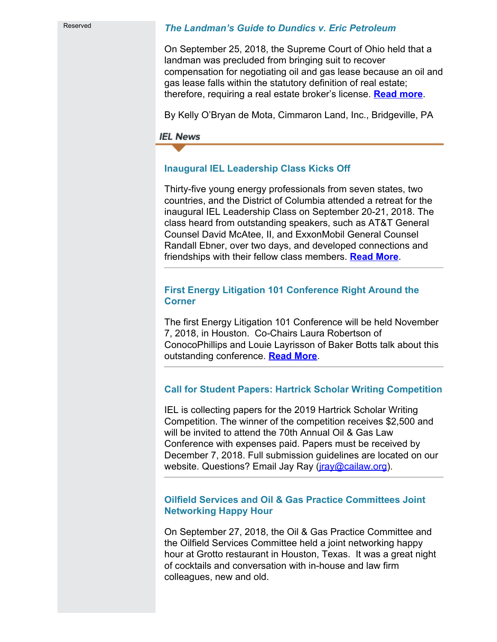Reserved

## *The Landman's Guide to Dundics v. Eric Petroleum*

On September 25, 2018, the Supreme Court of Ohio held that a landman was precluded from bringing suit to recover compensation for negotiating oil and gas lease because an oil and gas lease falls within the statutory definition of real estate; therefore, requiring a real estate broker's license. **[Read more](http://www.cailaw.org/media/files/IEL/Publications/2018/obryan-vol12no3.pdf)**.

By Kelly O'Bryan de Mota, Cimmaron Land, Inc., Bridgeville, PA

**IEL News** 

# **Inaugural IEL Leadership Class Kicks Off**

Thirty-five young energy professionals from seven states, two countries, and the District of Columbia attended a retreat for the inaugural IEL Leadership Class on September 20-21, 2018. The class heard from outstanding speakers, such as AT&T General Counsel David McAtee, II, and ExxonMobil General Counsel Randall Ebner, over two days, and developed connections and friendships with their fellow class members. **[Read More](http://www.cailaw.org/media/files/IEL/Publications/2018/leadership-class-vol12no3.pdf)**.

## **First Energy Litigation 101 Conference Right Around the Corner**

The first Energy Litigation 101 Conference will be held November 7, 2018, in Houston. Co-Chairs Laura Robertson of ConocoPhillips and Louie Layrisson of Baker Botts talk about this outstanding conference. **[Read More](http://www.cailaw.org/media/files/IEL/Publications/2018/energylit101-vol12no3.pdf)**.

# **Call for Student Papers: Hartrick Scholar Writing Competition**

IEL is collecting papers for the 2019 Hartrick Scholar Writing Competition. The winner of the competition receives \$2,500 and will be invited to attend the 70th Annual Oil & Gas Law Conference with expenses paid. Papers must be received by December 7, 2018. Full submission guidelines are located on our website. Questions? Email Jay Ray (*jray@cailaw.org*).

# **Oilfield Services and Oil & Gas Practice Committees Joint Networking Happy Hour**

On September 27, 2018, the Oil & Gas Practice Committee and the Oilfield Services Committee held a joint networking happy hour at Grotto restaurant in Houston, Texas. It was a great night of cocktails and conversation with in-house and law firm colleagues, new and old.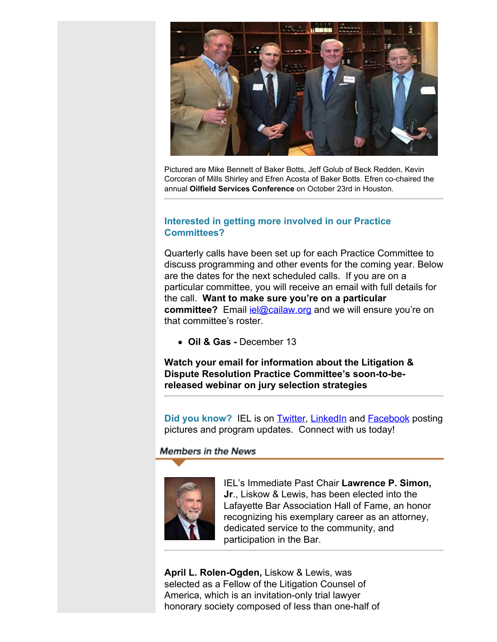

Pictured are Mike Bennett of Baker Botts, Jeff Golub of Beck Redden, Kevin Corcoran of Mills Shirley and Efren Acosta of Baker Botts. Efren co-chaired the annual **Oilfield Services Conference** on October 23rd in Houston.

# **Interested in getting more involved in our Practice Committees?**

Quarterly calls have been set up for each Practice Committee to discuss programming and other events for the coming year. Below are the dates for the next scheduled calls. If you are on a particular committee, you will receive an email with full details for the call. **Want to make sure you're on a particular committee?** Email jel@cailaw.org and we will ensure you're on that committee's roster.

**Oil & Gas -** December 13

**Watch your email for information about the Litigation & Dispute Resolution Practice Committee's soon-to-bereleased webinar on jury selection strategies**

**Did you know?** IEL is on **Twitter**, **[LinkedIn](https://www.linkedin.com/groups/2330688)** and **Facebook** posting pictures and program updates. Connect with us today!

**Members in the News** 



IEL's Immediate Past Chair **Lawrence P. Simon, Jr**., Liskow & Lewis, has been elected into the Lafayette Bar Association Hall of Fame, an honor recognizing his exemplary career as an attorney, dedicated service to the community, and participation in the Bar.

**April L. Rolen-Ogden,** Liskow & Lewis, was selected as a Fellow of the Litigation Counsel of America, which is an invitation-only trial lawyer honorary society composed of less than one-half of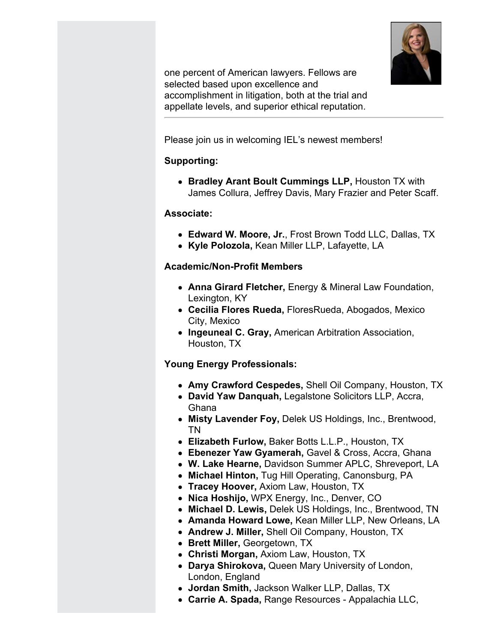

one percent of American lawyers. Fellows are selected based upon excellence and accomplishment in litigation, both at the trial and appellate levels, and superior ethical reputation.

Please join us in welcoming IEL's newest members!

# **Supporting:**

**Bradley Arant Boult Cummings LLP,** Houston TX with James Collura, Jeffrey Davis, Mary Frazier and Peter Scaff.

# **Associate:**

- **Edward W. Moore, Jr.**, Frost Brown Todd LLC, Dallas, TX
- **Kyle Polozola,** Kean Miller LLP, Lafayette, LA

# **Academic/Non-Profit Members**

- **Anna Girard Fletcher,** Energy & Mineral Law Foundation, Lexington, KY
- **Cecilia Flores Rueda,** FloresRueda, Abogados, Mexico City, Mexico
- **Ingeuneal C. Gray,** American Arbitration Association, Houston, TX

# **Young Energy Professionals:**

- **Amy Crawford Cespedes,** Shell Oil Company, Houston, TX
- **David Yaw Danquah,** Legalstone Solicitors LLP, Accra, Ghana
- **Misty Lavender Foy,** Delek US Holdings, Inc., Brentwood, TN
- **Elizabeth Furlow,** Baker Botts L.L.P., Houston, TX
- **Ebenezer Yaw Gyamerah,** Gavel & Cross, Accra, Ghana
- **W. Lake Hearne,** Davidson Summer APLC, Shreveport, LA
- **Michael Hinton,** Tug Hill Operating, Canonsburg, PA
- **Tracey Hoover,** Axiom Law, Houston, TX
- **Nica Hoshijo,** WPX Energy, Inc., Denver, CO
- **Michael D. Lewis,** Delek US Holdings, Inc., Brentwood, TN
- **Amanda Howard Lowe,** Kean Miller LLP, New Orleans, LA
- **Andrew J. Miller,** Shell Oil Company, Houston, TX
- **Brett Miller,** Georgetown, TX
- **Christi Morgan,** Axiom Law, Houston, TX
- **Darya Shirokova,** Queen Mary University of London, London, England
- **Jordan Smith,** Jackson Walker LLP, Dallas, TX
- **Carrie A. Spada,** Range Resources Appalachia LLC,